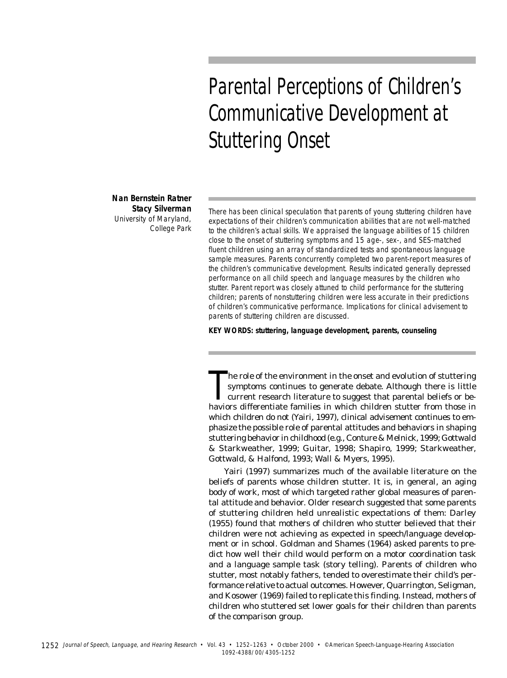# Parental Perceptions of Children's Communicative Development at Stuttering Onset

**Nan Bernstein Ratner Stacy Silverman** University of Maryland, College Park

There has been clinical speculation that parents of young stuttering children have expectations of their children's communication abilities that are not well-matched to the children's actual skills. We appraised the language abilities of 15 children close to the onset of stuttering symptoms and 15 age-, sex-, and SES-matched fluent children using an array of standardized tests and spontaneous language sample measures. Parents concurrently completed two parent-report measures of the children's communicative development. Results indicated generally depressed performance on all child speech and language measures by the children who stutter. Parent report was closely attuned to child performance for the stuttering children; parents of nonstuttering children were less accurate in their predictions of children's communicative performance. Implications for clinical advisement to parents of stuttering children are discussed.

**KEY WORDS: stuttering, language development, parents, counseling**

The role of the environment in the onset and evolution of stuttering symptoms continues to generate debate. Although there is little current research literature to suggest that parental beliefs or behaviors differentiate f he role of the environment in the onset and evolution of stuttering symptoms continues to generate debate. Although there is little current research literature to suggest that parental beliefs or bewhich children do not (Yairi, 1997), clinical advisement continues to emphasize the possible role of parental attitudes and behaviors in shaping stuttering behavior in childhood (e.g., Conture & Melnick, 1999; Gottwald & Starkweather, 1999; Guitar, 1998; Shapiro, 1999; Starkweather, Gottwald, & Halfond, 1993; Wall & Myers, 1995).

Yairi (1997) summarizes much of the available literature on the beliefs of parents whose children stutter. It is, in general, an aging body of work, most of which targeted rather global measures of parental attitude and behavior. Older research suggested that some parents of stuttering children held unrealistic expectations of them: Darley (1955) found that mothers of children who stutter believed that their children were not achieving as expected in speech/language development or in school. Goldman and Shames (1964) asked parents to predict how well their child would perform on a motor coordination task and a language sample task (story telling). Parents of children who stutter, most notably fathers, tended to overestimate their child's performance relative to actual outcomes. However, Quarrington, Seligman, and Kosower (1969) failed to replicate this finding. Instead, mothers of children who stuttered set lower goals for their children than parents of the comparison group.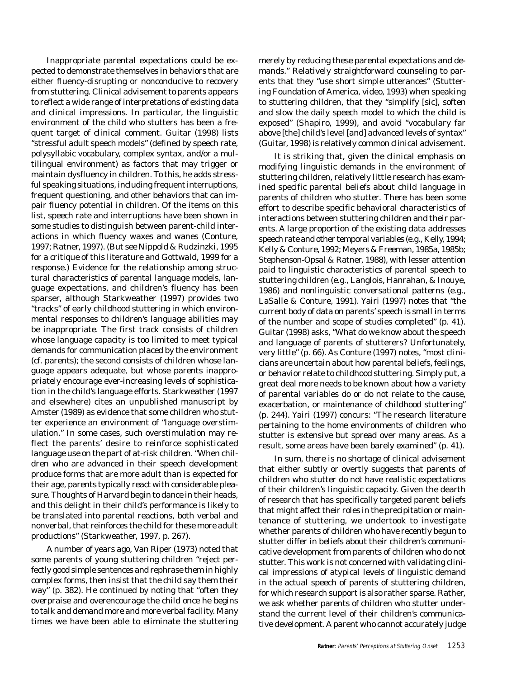Inappropriate parental expectations could be expected to demonstrate themselves in behaviors that are either fluency-disrupting or nonconducive to recovery from stuttering. Clinical advisement to parents appears to reflect a wide range of interpretations of existing data and clinical impressions. In particular, the linguistic environment of the child who stutters has been a frequent target of clinical comment. Guitar (1998) lists "stressful adult speech models" (defined by speech rate, polysyllabic vocabulary, complex syntax, and/or a multilingual environment) as factors that may trigger or maintain dysfluency in children. To this, he adds stressful speaking situations, including frequent interruptions, frequent questioning, and other behaviors that can impair fluency potential in children. Of the items on this list, speech rate and interruptions have been shown in some studies to distinguish between parent-child interactions in which fluency waxes and wanes (Conture, 1997; Ratner, 1997). (But see Nippold & Rudzinzki, 1995 for a critique of this literature and Gottwald, 1999 for a response.) Evidence for the relationship among structural characteristics of parental language models, language expectations, and children's fluency has been sparser, although Starkweather (1997) provides two "tracks" of early childhood stuttering in which environmental responses to children's language abilities may be inappropriate. The first track consists of children whose language capacity is too limited to meet typical demands for communication placed by the environment (cf. parents); the second consists of children whose language appears adequate, but whose parents inappropriately encourage ever-increasing levels of sophistication in the child's language efforts. Starkweather (1997 and elsewhere) cites an unpublished manuscript by Amster (1989) as evidence that some children who stutter experience an environment of "language overstimulation." In some cases, such overstimulation may reflect the parents' desire to reinforce sophisticated language use on the part of at-risk children. "When children who are advanced in their speech development produce forms that are more adult than is expected for their age, parents typically react with considerable pleasure. Thoughts of Harvard begin to dance in their heads, and this delight in their child's performance is likely to be translated into parental reactions, both verbal and nonverbal, that reinforces the child for these more adult productions" (Starkweather, 1997, p. 267).

A number of years ago, Van Riper (1973) noted that some parents of young stuttering children "reject perfectly good simple sentences and rephrase them in highly complex forms, then insist that the child say them their way" (p. 382). He continued by noting that "often they overpraise and overencourage the child once he begins to talk and demand more and more verbal facility. Many times we have been able to eliminate the stuttering merely by reducing these parental expectations and demands." Relatively straightforward counseling to parents that they "use short simple utterances" (Stuttering Foundation of America, video, 1993) when speaking to stuttering children, that they "simplify [sic], soften and slow the daily speech model to which the child is exposed" (Shapiro, 1999), and avoid "vocabulary far above [the] child's level [and] advanced levels of syntax" (Guitar, 1998) is relatively common clinical advisement.

It is striking that, given the clinical emphasis on modifying linguistic demands in the environment of stuttering children, relatively little research has examined specific parental beliefs about child language in parents of children who stutter. There has been some effort to describe specific behavioral characteristics of interactions between stuttering children and their parents. A large proportion of the existing data addresses speech rate and other temporal variables (e.g., Kelly, 1994; Kelly & Conture, 1992; Meyers & Freeman, 1985a, 1985b; Stephenson-Opsal & Ratner, 1988), with lesser attention paid to linguistic characteristics of parental speech to stuttering children (e.g., Langlois, Hanrahan, & Inouye, 1986) and nonlinguistic conversational patterns (e.g., LaSalle & Conture, 1991). Yairi (1997) notes that "the current body of data on parents' speech is small in terms of the number and scope of studies completed" (p. 41). Guitar (1998) asks, "What do we know about the speech and language of parents of stutterers? Unfortunately, very little" (p. 66). As Conture (1997) notes, "most clinicians are uncertain about how parental beliefs, feelings, or behavior relate to childhood stuttering. Simply put, a great deal more needs to be known about how a variety of parental variables do or do not relate to the cause, exacerbation, or maintenance of childhood stuttering" (p. 244). Yairi (1997) concurs: "The research literature pertaining to the home environments of children who stutter is extensive but spread over many areas. As a result, some areas have been barely examined" (p. 41).

In sum, there is no shortage of clinical advisement that either subtly or overtly suggests that parents of children who stutter do not have realistic expectations of their children's linguistic capacity. Given the dearth of research that has specifically targeted parent beliefs that might affect their roles in the precipitation or maintenance of stuttering, we undertook to investigate whether parents of children who have recently begun to stutter differ in beliefs about their children's communicative development from parents of children who do not stutter. This work is not concerned with validating clinical impressions of atypical levels of linguistic demand in the actual speech of parents of stuttering children, for which research support is also rather sparse. Rather, we ask whether parents of children who stutter understand the current level of their children's communicative development. A parent who cannot accurately judge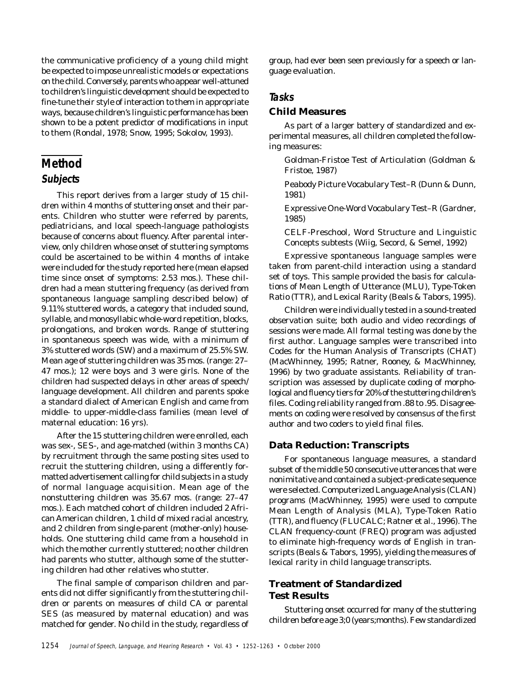the communicative proficiency of a young child might be expected to impose unrealistic models or expectations on the child. Conversely, parents who appear well-attuned to children's linguistic development should be expected to fine-tune their style of interaction to them in appropriate ways, because children's linguistic performance has been shown to be a potent predictor of modifications in input to them (Rondal, 1978; Snow, 1995; Sokolov, 1993).

# **Method Subjects**

This report derives from a larger study of 15 children within 4 months of stuttering onset and their parents. Children who stutter were referred by parents, pediatricians, and local speech-language pathologists because of concerns about fluency. After parental interview, only children whose onset of stuttering symptoms could be ascertained to be within 4 months of intake were included for the study reported here (mean elapsed time since onset of symptoms: 2.53 mos.). These children had a mean stuttering frequency (as derived from spontaneous language sampling described below) of 9.11% stuttered words, a category that included sound, syllable, and monosyllabic whole-word repetition, blocks, prolongations, and broken words. Range of stuttering in spontaneous speech was wide, with a minimum of 3% stuttered words (SW) and a maximum of 25.5% SW. Mean age of stuttering children was 35 mos. (range: 27– 47 mos.); 12 were boys and 3 were girls. None of the children had suspected delays in other areas of speech/ language development. All children and parents spoke a standard dialect of American English and came from middle- to upper-middle-class families (mean level of maternal education: 16 yrs).

After the 15 stuttering children were enrolled, each was sex-, SES-, and age-matched (within 3 months CA) by recruitment through the same posting sites used to recruit the stuttering children, using a differently formatted advertisement calling for child subjects in a study of normal language acquisition. Mean age of the nonstuttering children was 35.67 mos. (range: 27–47 mos.). Each matched cohort of children included 2 African American children, 1 child of mixed racial ancestry, and 2 children from single-parent (mother-only) households. One stuttering child came from a household in which the mother currently stuttered; no other children had parents who stutter, although some of the stuttering children had other relatives who stutter.

The final sample of comparison children and parents did not differ significantly from the stuttering children or parents on measures of child CA or parental SES (as measured by maternal education) and was matched for gender. No child in the study, regardless of group, had ever been seen previously for a speech or language evaluation.

### **Tasks**

### **Child Measures**

As part of a larger battery of standardized and experimental measures, all children completed the following measures:

Goldman-Fristoe Test of Articulation (Goldman & Fristoe, 1987)

Peabody Picture Vocabulary Test–R (Dunn & Dunn, 1981)

Expressive One-Word Vocabulary Test–R (Gardner, 1985)

CELF-Preschool, Word Structure and Linguistic Concepts subtests (Wiig, Secord, & Semel, 1992)

Expressive spontaneous language samples were taken from parent-child interaction using a standard set of toys. This sample provided the basis for calculations of Mean Length of Utterance (MLU), Type-Token Ratio (TTR), and Lexical Rarity (Beals & Tabors, 1995).

Children were individually tested in a sound-treated observation suite; both audio and video recordings of sessions were made. All formal testing was done by the first author. Language samples were transcribed into Codes for the Human Analysis of Transcripts (CHAT) (MacWhinney, 1995; Ratner, Rooney, & MacWhinney, 1996) by two graduate assistants. Reliability of transcription was assessed by duplicate coding of morphological and fluency tiers for 20% of the stuttering children's files. Coding reliability ranged from .88 to .95. Disagreements on coding were resolved by consensus of the first author and two coders to yield final files.

## **Data Reduction: Transcripts**

For spontaneous language measures, a standard subset of the middle 50 consecutive utterances that were nonimitative and contained a subject-predicate sequence were selected. Computerized Language Analysis (CLAN) programs (MacWhinney, 1995) were used to compute Mean Length of Analysis (MLA), Type-Token Ratio (TTR), and fluency (FLUCALC; Ratner et al., 1996). The CLAN frequency-count (FREQ) program was adjusted to eliminate high-frequency words of English in transcripts (Beals & Tabors, 1995), yielding the measures of lexical rarity in child language transcripts.

# **Treatment of Standardized Test Results**

Stuttering onset occurred for many of the stuttering children before age 3;0 (years;months). Few standardized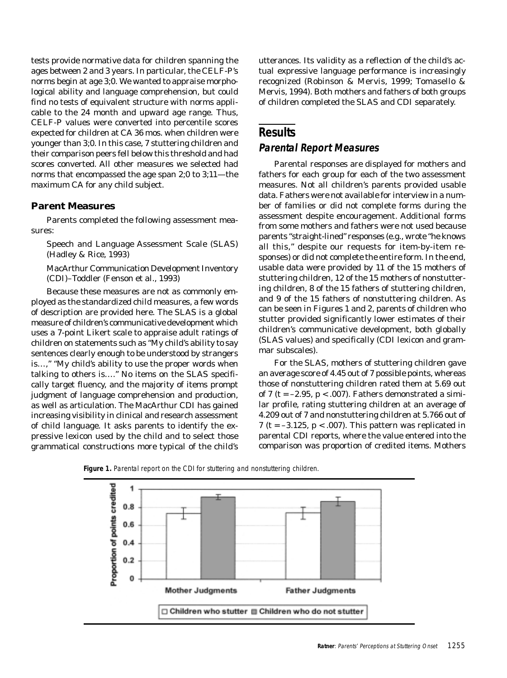tests provide normative data for children spanning the ages between 2 and 3 years. In particular, the CELF-P's norms begin at age 3;0. We wanted to appraise morphological ability and language comprehension, but could find no tests of equivalent structure with norms applicable to the 24 month and upward age range. Thus, CELF-P values were converted into percentile scores expected for children at CA 36 mos. when children were younger than 3;0. In this case, 7 stuttering children and their comparison peers fell below this threshold and had scores converted. All other measures we selected had norms that encompassed the age span 2;0 to 3;11—the maximum CA for any child subject.

#### **Parent Measures**

Parents completed the following assessment measures:

Speech and Language Assessment Scale (SLAS) (Hadley & Rice, 1993)

MacArthur Communication Development Inventory (CDI)–Toddler (Fenson et al., 1993)

Because these measures are not as commonly employed as the standardized child measures, a few words of description are provided here. The SLAS is a global measure of children's communicative development which uses a 7-point Likert scale to appraise adult ratings of children on statements such as "My child's ability to say sentences clearly enough to be understood by strangers is…," "My child's ability to use the proper words when talking to others is…." No items on the SLAS specifically target fluency, and the majority of items prompt judgment of language comprehension and production, as well as articulation. The MacArthur CDI has gained increasing visibility in clinical and research assessment of child language. It asks parents to identify the expressive lexicon used by the child and to select those grammatical constructions more typical of the child's

utterances. Its validity as a reflection of the child's actual expressive language performance is increasingly recognized (Robinson & Mervis, 1999; Tomasello & Mervis, 1994). Both mothers and fathers of both groups of children completed the SLAS and CDI separately.

# **Results**

## **Parental Report Measures**

Parental responses are displayed for mothers and fathers for each group for each of the two assessment measures. Not all children's parents provided usable data. Fathers were not available for interview in a number of families or did not complete forms during the assessment despite encouragement. Additional forms from some mothers and fathers were not used because parents "straight-lined" responses (e.g., wrote "he knows all this," despite our requests for item-by-item responses) or did not complete the entire form. In the end, usable data were provided by 11 of the 15 mothers of stuttering children, 12 of the 15 mothers of nonstuttering children, 8 of the 15 fathers of stuttering children, and 9 of the 15 fathers of nonstuttering children. As can be seen in Figures 1 and 2, parents of children who stutter provided significantly lower estimates of their children's communicative development, both globally (SLAS values) and specifically (CDI lexicon and grammar subscales).

For the SLAS, mothers of stuttering children gave an average score of 4.45 out of 7 possible points, whereas those of nonstuttering children rated them at 5.69 out of 7 (*t* = –2.95, *p* < .007). Fathers demonstrated a similar profile, rating stuttering children at an average of 4.209 out of 7 and nonstuttering children at 5.766 out of 7 ( $t = -3.125$ ,  $p < .007$ ). This pattern was replicated in parental CDI reports, where the value entered into the comparison was proportion of credited items. Mothers



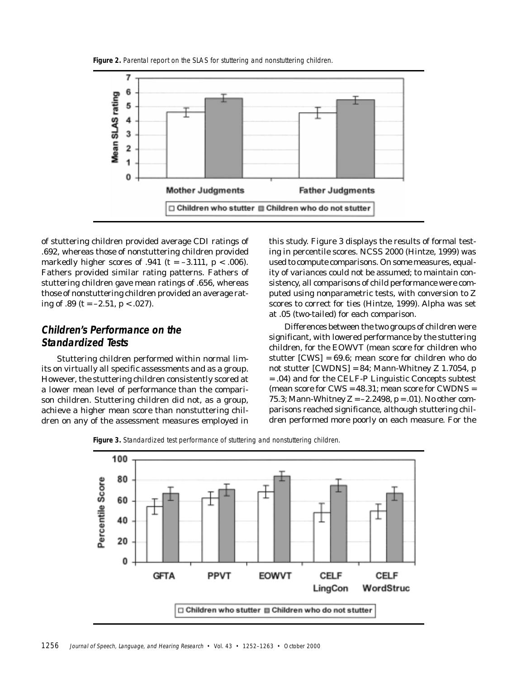



of stuttering children provided average CDI ratings of .692, whereas those of nonstuttering children provided markedly higher scores of .941 (*t* = –3.111, *p* < .006). Fathers provided similar rating patterns. Fathers of stuttering children gave mean ratings of .656, whereas those of nonstuttering children provided an average rating of .89 (*t* = –2.51, *p* < .027).

# **Children's Performance on the Standardized Tests**

Stuttering children performed within normal limits on virtually all specific assessments and as a group. However, the stuttering children consistently scored at a lower mean level of performance than the comparison children. Stuttering children did not, as a group, achieve a higher mean score than nonstuttering children on any of the assessment measures employed in

this study. Figure 3 displays the results of formal testing in percentile scores. NCSS 2000 (Hintze, 1999) was used to compute comparisons. On some measures, equality of variances could not be assumed; to maintain consistency, all comparisons of child performance were computed using nonparametric tests, with conversion to *Z* scores to correct for ties (Hintze, 1999). Alpha was set at .05 (two-tailed) for each comparison.

Differences between the two groups of children were significant, with lowered performance by the stuttering children, for the EOWVT (mean score for children who stutter [CWS] = 69.6; mean score for children who do not stutter [CWDNS] = 84; Mann-Whitney *Z* 1.7054, *p* = .04) and for the CELF-P Linguistic Concepts subtest (mean score for CWS = 48.31; mean score for CWDNS = 75.3; Mann-Whitney *Z* = –2.2498, *p* = .01). No other comparisons reached significance, although stuttering children performed more poorly on each measure. For the



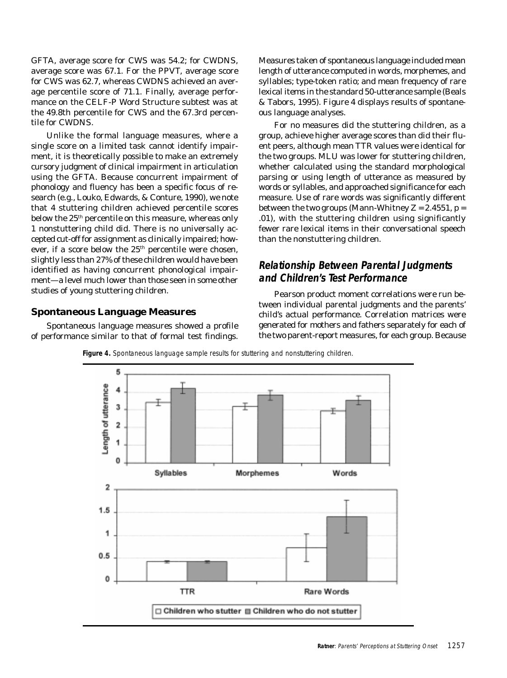GFTA, average score for CWS was 54.2; for CWDNS, average score was 67.1. For the PPVT, average score for CWS was 62.7, whereas CWDNS achieved an average percentile score of 71.1. Finally, average performance on the CELF-P Word Structure subtest was at the 49.8th percentile for CWS and the 67.3rd percentile for CWDNS.

Unlike the formal language measures, where a single score on a limited task cannot identify impairment, it is theoretically possible to make an extremely cursory judgment of clinical impairment in articulation using the GFTA. Because concurrent impairment of phonology and fluency has been a specific focus of research (e.g., Louko, Edwards, & Conture, 1990), we note that 4 stuttering children achieved percentile scores below the 25<sup>th</sup> percentile on this measure, whereas only 1 nonstuttering child did. There is no universally accepted cut-off for assignment as clinically impaired; however, if a score below the 25<sup>th</sup> percentile were chosen, slightly less than 27% of these children would have been identified as having concurrent phonological impairment—a level much lower than those seen in some other studies of young stuttering children.

#### **Spontaneous Language Measures**

Spontaneous language measures showed a profile of performance similar to that of formal test findings. Measures taken of spontaneous language included mean length of utterance computed in words, morphemes, and syllables; type-token ratio; and mean frequency of rare lexical items in the standard 50-utterance sample (Beals & Tabors, 1995). Figure 4 displays results of spontaneous language analyses.

For no measures did the stuttering children, as a group, achieve higher average scores than did their fluent peers, although mean TTR values were identical for the two groups. MLU was lower for stuttering children, whether calculated using the standard morphological parsing or using length of utterance as measured by words or syllables, and approached significance for each measure. Use of rare words was significantly different between the two groups (Mann-Whitney  $Z = 2.4551$ ,  $p =$ .01), with the stuttering children using significantly fewer rare lexical items in their conversational speech than the nonstuttering children.

## **Relationship Between Parental Judgments and Children's Test Performance**

Pearson product moment correlations were run between individual parental judgments and the parents' child's actual performance. Correlation matrices were generated for mothers and fathers separately for each of the two parent-report measures, for each group. Because

**Figure 4.** Spontaneous language sample results for stuttering and nonstuttering children.

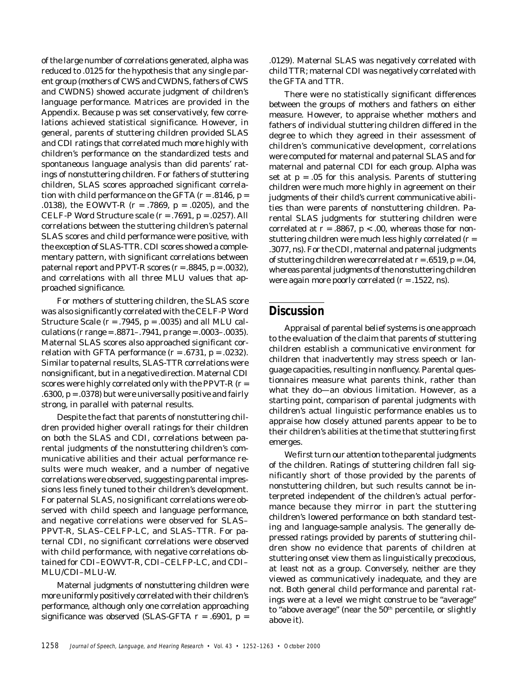of the large number of correlations generated, alpha was reduced to .0125 for the hypothesis that any single parent group (mothers of CWS and CWDNS, fathers of CWS and CWDNS) showed accurate judgment of children's language performance. Matrices are provided in the Appendix. Because *p* was set conservatively, few correlations achieved statistical significance. However, in general, parents of stuttering children provided SLAS and CDI ratings that correlated much more highly with children's performance on the standardized tests and spontaneous language analysis than did parents' ratings of nonstuttering children. For fathers of stuttering children, SLAS scores approached significant correlation with child performance on the GFTA (*r* = .8146, *p* = .0138), the EOWVT-R (*r* = .7869, *p* = .0205), and the CELF-P Word Structure scale (*r* = .7691, *p* = .0257). All correlations between the stuttering children's paternal SLAS scores and child performance were positive, with the exception of SLAS-TTR. CDI scores showed a complementary pattern, with significant correlations between paternal report and PPVT-R scores (*r* = .8845, *p* = .0032), and correlations with all three MLU values that approached significance.

For mothers of stuttering children, the SLAS score was also significantly correlated with the CELF-P Word Structure Scale (*r* = .7945, *p* = .0035) and all MLU calculations (*r* range = .8871–.7941, *p* range = .0003–.0035)*.* Maternal SLAS scores also approached significant correlation with GFTA performance (*r* = .6731, *p* = .0232). Similar to paternal results, SLAS-TTR correlations were nonsignificant, but in a negative direction. Maternal CDI scores were highly correlated only with the PPVT-R (*r* = .6300, *p* = .0378) but were universally positive and fairly strong, in parallel with paternal results.

Despite the fact that parents of nonstuttering children provided higher overall ratings for their children on both the SLAS and CDI, correlations between parental judgments of the nonstuttering children's communicative abilities and their actual performance results were much weaker, and a number of negative correlations were observed, suggesting parental impressions less finely tuned to their children's development. For paternal SLAS, no significant correlations were observed with child speech and language performance, and negative correlations were observed for SLAS– PPVT-R, SLAS–CELFP-LC, and SLAS–TTR. For paternal CDI, no significant correlations were observed with child performance, with negative correlations obtained for CDI–EOWVT-R, CDI–CELFP-LC, and CDI– MLU/CDI–MLU-W.

Maternal judgments of nonstuttering children were more uniformly positively correlated with their children's performance, although only one correlation approaching significance was observed (SLAS-GFTA *r* = .6901, *p* =

.0129). Maternal SLAS was negatively correlated with child TTR; maternal CDI was negatively correlated with the GFTA and TTR.

There were no statistically significant differences between the groups of mothers and fathers on either measure. However, to appraise whether mothers and fathers of individual stuttering children differed in the degree to which they agreed in their assessment of children's communicative development, correlations were computed for maternal and paternal SLAS and for maternal and paternal CDI for each group. Alpha was set at  $p = .05$  for this analysis. Parents of stuttering children were much more highly in agreement on their judgments of their child's current communicative abilities than were parents of nonstuttering children. Parental SLAS judgments for stuttering children were correlated at  $r = .8867$ ,  $p < .00$ , whereas those for nonstuttering children were much less highly correlated (*r* = .3077, *ns*). For the CDI, maternal and paternal judgments of stuttering children were correlated at *r* = .6519, *p* = .04, whereas parental judgments of the nonstuttering children were again more poorly correlated (*r* = .1522, *ns*).

# **Discussion**

Appraisal of parental belief systems is one approach to the evaluation of the claim that parents of stuttering children establish a communicative environment for children that inadvertently may stress speech or language capacities, resulting in nonfluency. Parental questionnaires measure what parents think, rather than what they do—an obvious limitation. However, as a starting point, comparison of parental judgments with children's actual linguistic performance enables us to appraise how closely attuned parents appear to be to their children's abilities at the time that stuttering first emerges.

We first turn our attention to the parental judgments of the children. Ratings of stuttering children fall significantly short of those provided by the parents of nonstuttering children, but such results cannot be interpreted independent of the children's actual performance because they mirror in part the stuttering children's lowered performance on both standard testing and language-sample analysis. The generally depressed ratings provided by parents of stuttering children show no evidence that parents of children at stuttering onset view them as linguistically precocious, at least not as a group. Conversely, neither are they viewed as communicatively inadequate, and they are not. Both general child performance and parental ratings were at a level we might construe to be "average" to "above average" (near the 50<sup>th</sup> percentile, or slightly above it).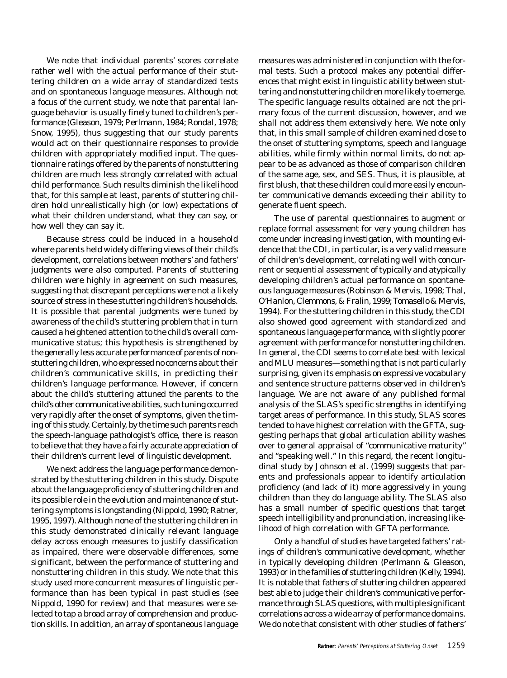We note that individual parents' scores correlate rather well with the actual performance of their stuttering children on a wide array of standardized tests and on spontaneous language measures. Although not a focus of the current study, we note that parental language behavior is usually finely tuned to children's performance (Gleason, 1979; Perlmann, 1984; Rondal, 1978; Snow, 1995), thus suggesting that our study parents would act on their questionnaire responses to provide children with appropriately modified input. The questionnaire ratings offered by the parents of nonstuttering children are much less strongly correlated with actual child performance. Such results diminish the likelihood that, for this sample at least, parents of stuttering children hold unrealistically high (or low) expectations of what their children understand, what they can say, or how well they can say it.

Because stress could be induced in a household where parents held widely differing views of their child's development, correlations between mothers' and fathers' judgments were also computed. Parents of stuttering children were highly in agreement on such measures, suggesting that discrepant perceptions were not a likely source of stress in these stuttering children's households. It is possible that parental judgments were tuned by awareness of the child's stuttering problem that in turn caused a heightened attention to the child's overall communicative status; this hypothesis is strengthened by the generally less accurate performance of parents of nonstuttering children, who expressed no concerns about their children's communicative skills, in predicting their children's language performance. However, if concern about the child's stuttering attuned the parents to the child's other communicative abilities, such tuning occurred very rapidly after the onset of symptoms, given the timing of this study. Certainly, by the time such parents reach the speech-language pathologist's office, there is reason to believe that they have a fairly accurate appreciation of their children's current level of linguistic development.

We next address the language performance demonstrated by the stuttering children in this study. Dispute about the language proficiency of stuttering children and its possible role in the evolution and maintenance of stuttering symptoms is longstanding (Nippold, 1990; Ratner, 1995, 1997). Although none of the stuttering children in this study demonstrated clinically relevant language delay across enough measures to justify classification as impaired, there were observable differences, some significant, between the performance of stuttering and nonstuttering children in this study. We note that this study used more concurrent measures of linguistic performance than has been typical in past studies (see Nippold, 1990 for review) and that measures were selected to tap a broad array of comprehension and production skills. In addition, an array of spontaneous language measures was administered in conjunction with the formal tests. Such a protocol makes any potential differences that might exist in linguistic ability between stuttering and nonstuttering children more likely to emerge. The specific language results obtained are not the primary focus of the current discussion, however, and we shall not address them extensively here. We note only that, in this small sample of children examined close to the onset of stuttering symptoms, speech and language abilities, while firmly within normal limits, do not appear to be as advanced as those of comparison children of the same age, sex, and SES. Thus, it is plausible, at first blush, that these children could more easily encounter communicative demands exceeding their ability to generate fluent speech.

The use of parental questionnaires to augment or replace formal assessment for very young children has come under increasing investigation, with mounting evidence that the CDI, in particular, is a very valid measure of children's development, correlating well with concurrent or sequential assessment of typically and atypically developing children's actual performance on spontaneous language measures (Robinson & Mervis, 1998; Thal, O'Hanlon, Clemmons, & Fralin, 1999; Tomasello & Mervis, 1994). For the stuttering children in this study, the CDI also showed good agreement with standardized and spontaneous language performance, with slightly poorer agreement with performance for nonstuttering children. In general, the CDI seems to correlate best with lexical and MLU measures—something that is not particularly surprising, given its emphasis on expressive vocabulary and sentence structure patterns observed in children's language. We are not aware of any published formal analysis of the SLAS's specific strengths in identifying target areas of performance. In this study, SLAS scores tended to have highest correlation with the GFTA, suggesting perhaps that global articulation ability washes over to general appraisal of "communicative maturity" and "speaking well." In this regard, the recent longitudinal study by Johnson et al. (1999) suggests that parents and professionals appear to identify articulation proficiency (and lack of it) more aggressively in young children than they do language ability. The SLAS also has a small number of specific questions that target speech intelligibility and pronunciation, increasing likelihood of high correlation with GFTA performance.

Only a handful of studies have targeted fathers' ratings of children's communicative development, whether in typically developing children (Perlmann & Gleason, 1993) or in the families of stuttering children (Kelly, 1994). It is notable that fathers of stuttering children appeared best able to judge their children's communicative performance through SLAS questions, with multiple significant correlations across a wide array of performance domains. We do note that consistent with other studies of fathers'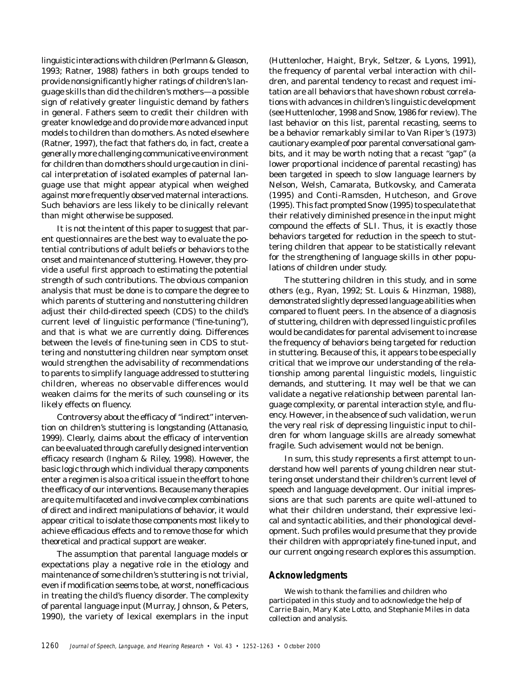linguistic interactions with children (Perlmann & Gleason, 1993; Ratner, 1988) fathers in both groups tended to provide nonsignificantly higher ratings of children's language skills than did the children's mothers—a possible sign of relatively greater linguistic demand by fathers in general. Fathers seem to credit their children with greater knowledge and do provide more advanced input models to children than do mothers. As noted elsewhere (Ratner, 1997), the fact that fathers do, in fact, create a generally more challenging communicative environment for children than do mothers should urge caution in clinical interpretation of isolated examples of paternal language use that might appear atypical when weighed against more frequently observed maternal interactions. Such behaviors are less likely to be clinically relevant than might otherwise be supposed.

It is not the intent of this paper to suggest that parent questionnaires are the best way to evaluate the potential contributions of adult beliefs or behaviors to the onset and maintenance of stuttering. However, they provide a useful first approach to estimating the potential strength of such contributions. The obvious companion analysis that must be done is to compare the degree to which parents of stuttering and nonstuttering children adjust their child-directed speech (CDS) to the child's current level of linguistic performance ("fine-tuning"), and that is what we are currently doing. Differences between the levels of fine-tuning seen in CDS to stuttering and nonstuttering children near symptom onset would strengthen the advisability of recommendations to parents to simplify language addressed to stuttering children, whereas no observable differences would weaken claims for the merits of such counseling or its likely effects on fluency.

Controversy about the efficacy of "indirect" intervention on children's stuttering is longstanding (Attanasio, 1999). Clearly, claims about the efficacy of intervention can be evaluated through carefully designed intervention efficacy research (Ingham & Riley, 1998). However, the basic logic through which individual therapy components enter a regimen is also a critical issue in the effort to hone the efficacy of our interventions. Because many therapies are quite multifaceted and involve complex combinations of direct and indirect manipulations of behavior, it would appear critical to isolate those components most likely to achieve efficacious effects and to remove those for which theoretical and practical support are weaker.

The assumption that parental language models or expectations play a negative role in the etiology and maintenance of some children's stuttering is not trivial, even if modification seems to be, at worst, nonefficacious in treating the child's fluency disorder. The complexity of parental language input (Murray, Johnson, & Peters, 1990), the variety of lexical exemplars in the input (Huttenlocher, Haight, Bryk, Seltzer, & Lyons, 1991), the frequency of parental verbal interaction with children, and parental tendency to recast and request imitation are all behaviors that have shown robust correlations with advances in children's linguistic development (see Huttenlocher, 1998 and Snow, 1986 for review). The last behavior on this list, parental recasting, seems to be a behavior remarkably similar to Van Riper's (1973) cautionary example of poor parental conversational gambits, and it may be worth noting that a recast "gap" (a lower proportional incidence of parental recasting) has been targeted in speech to slow language learners by Nelson, Welsh, Camarata, Butkovsky, and Camerata (1995) and Conti-Ramsden, Hutcheson, and Grove (1995). This fact prompted Snow (1995) to speculate that their relatively diminished presence in the input might compound the effects of SLI. Thus, it is exactly those behaviors targeted for reduction in the speech to stuttering children that appear to be statistically relevant for the strengthening of language skills in other populations of children under study.

The stuttering children in this study, and in some others (e.g., Ryan, 1992; St. Louis & Hinzman, 1988), demonstrated slightly depressed language abilities when compared to fluent peers. In the absence of a diagnosis of stuttering, children with depressed linguistic profiles would be candidates for parental advisement to *increase* the frequency of behaviors being targeted for reduction in stuttering. Because of this, it appears to be especially critical that we improve our understanding of the relationship among parental linguistic models, linguistic demands, and stuttering. It may well be that we can validate a negative relationship between parental language complexity, or parental interaction style, and fluency. However, in the absence of such validation, we run the very real risk of depressing linguistic input to children for whom language skills are already somewhat fragile. Such advisement would not be benign.

In sum, this study represents a first attempt to understand how well parents of young children near stuttering onset understand their children's current level of speech and language development. Our initial impressions are that such parents are quite well-attuned to what their children understand, their expressive lexical and syntactic abilities, and their phonological development. Such profiles would presume that they provide their children with appropriately fine-tuned input, and our current ongoing research explores this assumption.

### **Acknowledgments**

We wish to thank the families and children who participated in this study and to acknowledge the help of Carrie Bain, Mary Kate Lotto, and Stephanie Miles in data collection and analysis.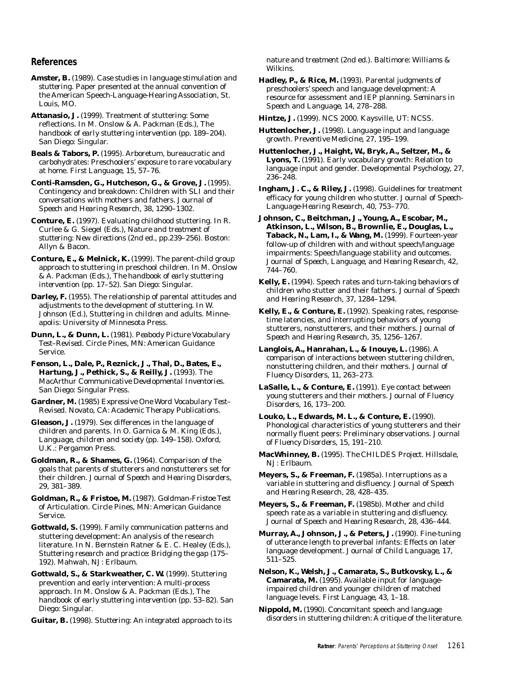#### **References**

- **Amster, B.** (1989). *Case studies in language stimulation and stuttering.* Paper presented at the annual convention of the American Speech-Language-Hearing Association, St. Louis, MO.
- **Attanasio, J.** (1999). Treatment of stuttering: Some reflections. In M. Onslow & A. Packman (Eds.), *The handbook of early stuttering intervention* (pp. 189–204). San Diego: Singular.
- **Beals & Tabors, P.** (1995). Arboretum, bureaucratic and carbohydrates: Preschoolers' exposure to rare vocabulary at home. *First Language, 15*, 57–76.
- **Conti-Ramsden, G., Hutcheson, G., & Grove, J.** (1995). Contingency and breakdown: Children with SLI and their conversations with mothers and fathers. *Journal of Speech and Hearing Research, 38*, 1290–1302.
- **Conture, E.** (1997). Evaluating childhood stuttering. In R. Curlee & G. Siegel (Eds.), *Nature and treatment of stuttering: New directions* (2nd ed., pp.239–256). Boston: Allyn & Bacon.
- **Conture, E., & Melnick, K.** (1999). The parent-child group approach to stuttering in preschool children. In M. Onslow & A. Packman (Eds.), *The handbook of early stuttering intervention* (pp. 17–52). San Diego: Singular.
- **Darley, F.** (1955). The relationship of parental attitudes and adjustments to the development of stuttering. In W. Johnson (Ed.), *Stuttering in children and adults*. Minneapolis: University of Minnesota Press.
- **Dunn, L., & Dunn, L.** (1981). *Peabody Picture Vocabulary Test–Revised*. Circle Pines, MN: American Guidance Service.
- **Fenson, L., Dale, P., Reznick, J., Thal, D., Bates, E., Hartung, J., Pethick, S., & Reilly, J.** (1993). *The MacArthur Communicative Developmental Inventories.* San Diego: Singular Press.
- **Gardner, M.** (1985) *Expressive One Word Vocabulary Test– Revised*. Novato, CA: Academic Therapy Publications.
- **Gleason, J.** (1979). Sex differences in the language of children and parents. In O. Garnica & M. King (Eds.), *Language, children and society* (pp. 149–158). Oxford, U.K.: Pergamon Press.
- **Goldman, R., & Shames, G.** (1964). Comparison of the goals that parents of stutterers and nonstutterers set for their children. *Journal of Speech and Hearing Disorders, 29*, 381–389.
- **Goldman, R., & Fristoe, M.** (1987). *Goldman-Fristoe Test of Articulation*. Circle Pines, MN: American Guidance **Service**
- **Gottwald, S.** (1999). Family communication patterns and stuttering development: An analysis of the research literature. In N. Bernstein Ratner & E. C. Healey (Eds.), *Stuttering research and practice: Bridging the gap* (175– 192). Mahwah, NJ: Erlbaum.
- **Gottwald, S., & Starkweather, C. W.** (1999). Stuttering prevention and early intervention: A multi-process approach. In M. Onslow & A. Packman (Eds.), *The handbook of early stuttering intervention* (pp. 53–82). San Diego: Singular.
- **Guitar, B.** (1998). *Stuttering: An integrated approach to its*

*nature and treatment* (2nd ed.). Baltimore: Williams & Wilkins.

**Hadley, P., & Rice, M.** (1993). Parental judgments of preschoolers' speech and language development: A resource for assessment and IEP planning. *Seminars in Speech and Language, 14*, 278–288.

**Hintze, J.** (1999). *NCS 2000*. Kaysville, UT: NCSS.

- **Huttenlocher, J.** (1998). Language input and language growth. *Preventive Medicine, 27*, 195–199.
- **Huttenlocher, J., Haight, W., Bryk, A., Seltzer, M., & Lyons, T.** (1991). Early vocabulary growth: Relation to language input and gender. *Developmental Psychology, 27*, 236–248.
- **Ingham, J. C., & Riley, J.** (1998). Guidelines for treatment efficacy for young children who stutter. *Journal of Speech-Language-Hearing Research, 40*, 753–770.
- **Johnson, C., Beitchman, J., Young, A., Escobar, M., Atkinson, L., Wilson, B., Brownlie, E., Douglas, L., Taback, N., Lam, I., & Wang, M.** (1999). Fourteen-year follow-up of children with and without speech/language impairments: Speech/language stability and outcomes. *Journal of Speech, Language, and Hearing Research, 42,* 744–760.
- **Kelly, E.** (1994). Speech rates and turn-taking behaviors of children who stutter and their fathers. *Journal of Speech and Hearing Research, 37*, 1284–1294.
- **Kelly, E., & Conture, E.** (1992). Speaking rates, responsetime latencies, and interrupting behaviors of young stutterers, nonstutterers, and their mothers. *Journal of Speech and Hearing Research, 35*, 1256–1267.
- **Langlois, A., Hanrahan, L., & Inouye, L.** (1986). A comparison of interactions between stuttering children, nonstuttering children, and their mothers. *Journal of Fluency Disorders, 11*, 263–273.
- **LaSalle, L., & Conture, E.** (1991). Eye contact between young stutterers and their mothers. *Journal of Fluency Disorders, 16*, 173–200.
- **Louko, L., Edwards, M. L., & Conture, E.** (1990). Phonological characteristics of young stutterers and their normally fluent peers: Preliminary observations. *Journal of Fluency Disorders, 15*, 191–210.
- **MacWhinney, B.** (1995). *The CHILDES Project*. Hillsdale, NJ: Erlbaum.
- **Meyers, S., & Freeman, F.** (1985a). Interruptions as a variable in stuttering and disfluency. *Journal of Speech and Hearing Research, 28,* 428–435.
- **Meyers, S., & Freeman, F.** (1985b). Mother and child speech rate as a variable in stuttering and disfluency. *Journal of Speech and Hearing Research, 28*, 436–444.
- **Murray, A., Johnson, J., & Peters, J.** (1990). Fine-tuning of utterance length to preverbal infants: Effects on later language development. *Journal of Child Language, 17*, 511–525.
- **Nelson, K., Welsh, J., Camarata, S., Butkovsky, L., & Camarata, M.** (1995). Available input for languageimpaired children and younger children of matched language levels. *First Language, 43*, 1–18.
- **Nippold, M.** (1990). Concomitant speech and language disorders in stuttering children: A critique of the literature.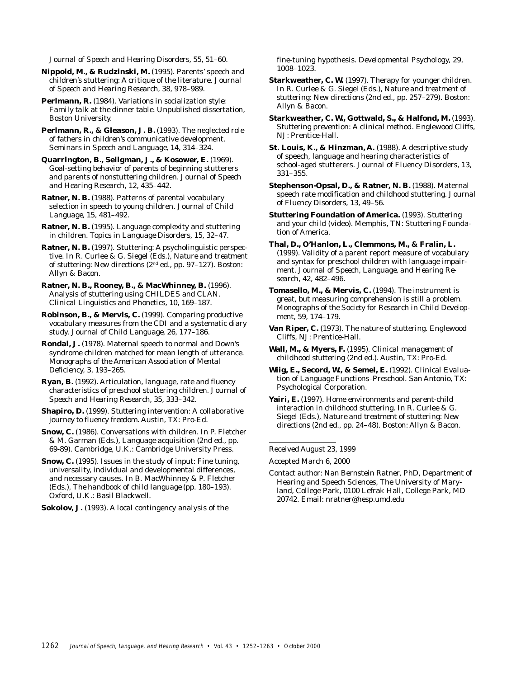*Journal of Speech and Hearing Disorders, 55*, 51–60.

**Nippold, M., & Rudzinski, M.** (1995). Parents' speech and children's stuttering: A critique of the literature. *Journal of Speech and Hearing Research, 38*, 978–989.

**Perlmann, R.** (1984). *Variations in socialization style: Family talk at the dinner table.* Unpublished dissertation, Boston University.

**Perlmann, R., & Gleason, J. B.** (1993). The neglected role of fathers in children's communicative development. *Seminars in Speech and Language, 14*, 314–324.

**Quarrington, B., Seligman, J., & Kosower, E.** (1969). Goal-setting behavior of parents of beginning stutterers and parents of nonstuttering children. *Journal of Speech and Hearing Research, 12,* 435–442.

**Ratner, N. B.** (1988). Patterns of parental vocabulary selection in speech to young children. *Journal of Child Language, 15*, 481–492.

**Ratner, N. B.** (1995). Language complexity and stuttering in children. *Topics in Language Disorders, 15*, 32–47.

**Ratner, N. B.** (1997). Stuttering: A psycholinguistic perspective. In R. Curlee & G. Siegel (Eds.), *Nature and treatment of stuttering: New directions* (2nd ed., pp. 97–127). Boston: Allyn & Bacon.

**Ratner, N. B., Rooney, B., & MacWhinney, B.** (1996). Analysis of stuttering using CHILDES and CLAN. *Clinical Linguistics and Phonetics, 10*, 169–187.

**Robinson, B., & Mervis, C.** (1999). Comparing productive vocabulary measures from the CDI and a systematic diary study. *Journal of Child Language, 26*, 177–186.

**Rondal, J.** (1978). Maternal speech to normal and Down's syndrome children matched for mean length of utterance. *Monographs of the American Association of Mental Deficiency, 3*, 193–265.

**Ryan, B.** (1992). Articulation, language, rate and fluency characteristics of preschool stuttering children. *Journal of Speech and Hearing Research, 35*, 333–342.

**Shapiro, D.** (1999). *Stuttering intervention: A collaborative journey to fluency freedom*. Austin, TX: Pro-Ed.

**Snow, C.** (1986). Conversations with children. In P. Fletcher & M. Garman (Eds.), *Language acquisition* (2nd ed., pp. 69-89). Cambridge, U.K.: Cambridge University Press.

**Snow, C.** (1995). Issues in the study of input: Fine tuning, universality, individual and developmental differences, and necessary causes. In B. MacWhinney & P. Fletcher (Eds.), *The handbook of child language* (pp. 180–193). Oxford, U.K.: Basil Blackwell.

**Sokolov, J.** (1993). A local contingency analysis of the

fine-tuning hypothesis. *Developmental Psychology, 29*, 1008–1023.

**Starkweather, C. W.** (1997). Therapy for younger children. In R. Curlee & G. Siegel (Eds.), *Nature and treatment of stuttering: New directions* (2nd ed., pp. 257–279). Boston: Allyn & Bacon.

**Starkweather, C. W., Gottwald, S., & Halfond, M.** (1993). *Stuttering prevention: A clinical method.* Englewood Cliffs, NJ: Prentice-Hall.

**St. Louis, K., & Hinzman, A.** (1988). A descriptive study of speech, language and hearing characteristics of school-aged stutterers. *Journal of Fluency Disorders, 13,* 331–355.

Stephenson-Opsal, D., & Ratner, N. B. (1988). Maternal speech rate modification and childhood stuttering. *Journal of Fluency Disorders, 13*, 49–56.

**Stuttering Foundation of America.** (1993). *Stuttering and your child* (video). Memphis, TN: Stuttering Foundation of America.

**Thal, D., O'Hanlon, L., Clemmons, M., & Fralin, L.** (1999). Validity of a parent report measure of vocabulary and syntax for preschool children with language impairment. *Journal of Speech, Language, and Hearing Research, 42*, 482–496.

**Tomasello, M., & Mervis, C.** (1994). The instrument is great, but measuring comprehension is still a problem. *Monographs of the Society for Research in Child Development, 59*, 174–179.

**Van Riper, C.** (1973). *The nature of stuttering.* Englewood Cliffs, NJ: Prentice-Hall.

**Wall, M., & Myers, F.** (1995). *Clinical management of childhood stuttering* (2nd ed.). Austin, TX: Pro-Ed.

**Wiig, E., Secord, W., & Semel, E.** (1992). *Clinical Evaluation of Language Functions–Preschool.* San Antonio, TX: Psychological Corporation.

Yairi, E. (1997). Home environments and parent-child interaction in childhood stuttering. In R. Curlee & G. Siegel (Eds.), *Nature and treatment of stuttering: New directions* (2nd ed., pp. 24–48). Boston: Allyn & Bacon.

Received August 23, 1999

Accepted March 6, 2000

Contact author: Nan Bernstein Ratner, PhD, Department of Hearing and Speech Sciences, The University of Maryland, College Park, 0100 Lefrak Hall, College Park, MD 20742. Email: nratner@hesp.umd.edu